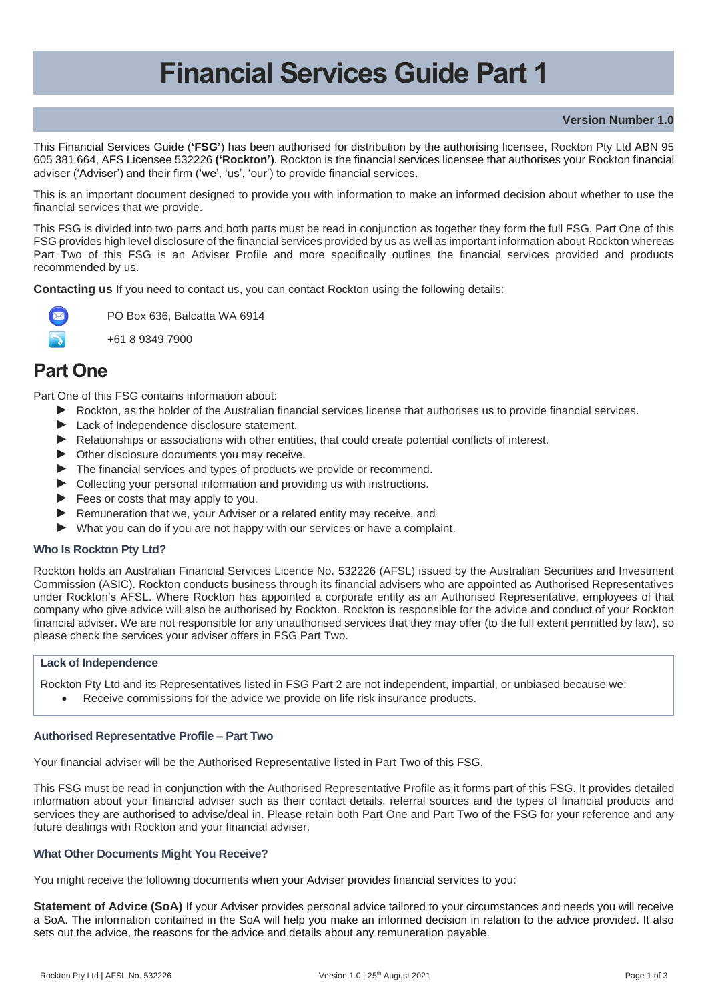# **Financial Services Guide Part 1**

## **Version Number 1.0**

This Financial Services Guide (**'FSG'**) has been authorised for distribution by the authorising licensee, Rockton Pty Ltd ABN 95 605 381 664, AFS Licensee 532226 **('Rockton')**. Rockton is the financial services licensee that authorises your Rockton financial adviser ('Adviser') and their firm ('we', 'us', 'our') to provide financial services.

This is an important document designed to provide you with information to make an informed decision about whether to use the financial services that we provide.

This FSG is divided into two parts and both parts must be read in conjunction as together they form the full FSG. Part One of this FSG provides high level disclosure of the financial services provided by us as well as important information about Rockton whereas Part Two of this FSG is an Adviser Profile and more specifically outlines the financial services provided and products recommended by us.

**Contacting us** If you need to contact us, you can contact Rockton using the following details:



PO Box 636, Balcatta WA 6914

+61 8 9349 7900

## **Part One**

Part One of this FSG contains information about:

- ► Rockton, as the holder of the Australian financial services license that authorises us to provide financial services.
- ► Lack of Independence disclosure statement.
- ► Relationships or associations with other entities, that could create potential conflicts of interest.
- ► Other disclosure documents you may receive.
- ► The financial services and types of products we provide or recommend.
- ► Collecting your personal information and providing us with instructions.
- ► Fees or costs that may apply to you.
- ► Remuneration that we, your Adviser or a related entity may receive, and
- ► What you can do if you are not happy with our services or have a complaint.

## **Who Is Rockton Pty Ltd?**

Rockton holds an Australian Financial Services Licence No. 532226 (AFSL) issued by the Australian Securities and Investment Commission (ASIC). Rockton conducts business through its financial advisers who are appointed as Authorised Representatives under Rockton's AFSL. Where Rockton has appointed a corporate entity as an Authorised Representative, employees of that company who give advice will also be authorised by Rockton. Rockton is responsible for the advice and conduct of your Rockton financial adviser. We are not responsible for any unauthorised services that they may offer (to the full extent permitted by law), so please check the services your adviser offers in FSG Part Two.

## **Lack of Independence**

Rockton Pty Ltd and its Representatives listed in FSG Part 2 are not independent, impartial, or unbiased because we:

Receive commissions for the advice we provide on life risk insurance products.

## **Authorised Representative Profile – Part Two**

Your financial adviser will be the Authorised Representative listed in Part Two of this FSG.

This FSG must be read in conjunction with the Authorised Representative Profile as it forms part of this FSG. It provides detailed information about your financial adviser such as their contact details, referral sources and the types of financial products and services they are authorised to advise/deal in. Please retain both Part One and Part Two of the FSG for your reference and any future dealings with Rockton and your financial adviser.

## **What Other Documents Might You Receive?**

You might receive the following documents when your Adviser provides financial services to you:

**Statement of Advice (SoA)** If your Adviser provides personal advice tailored to your circumstances and needs you will receive a SoA. The information contained in the SoA will help you make an informed decision in relation to the advice provided. It also sets out the advice, the reasons for the advice and details about any remuneration payable.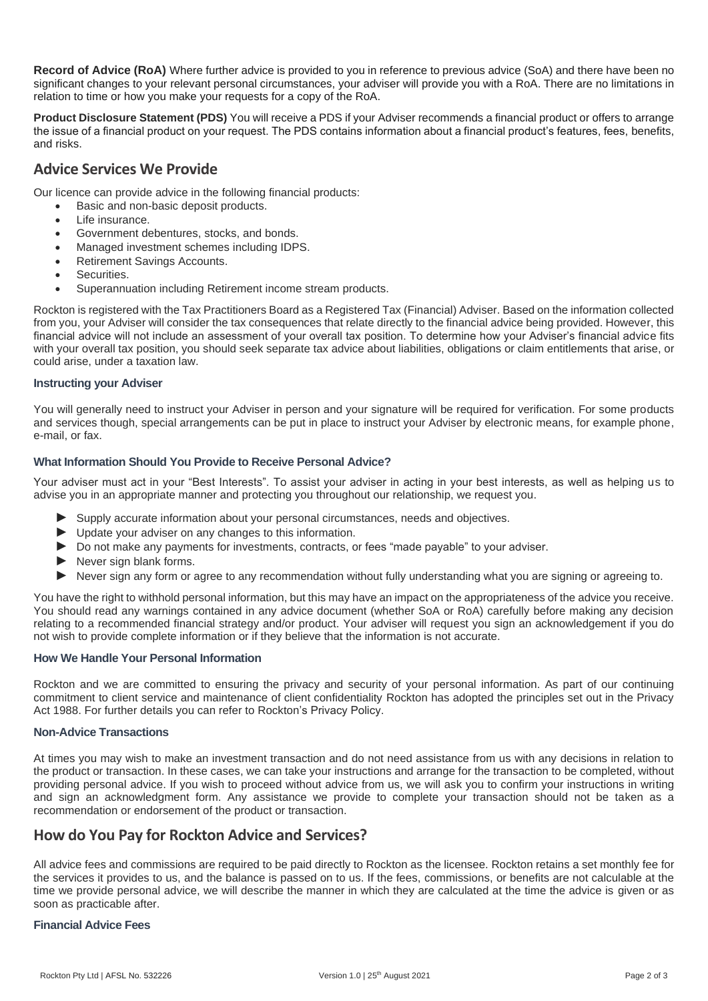**Record of Advice (RoA)** Where further advice is provided to you in reference to previous advice (SoA) and there have been no significant changes to your relevant personal circumstances, your adviser will provide you with a RoA. There are no limitations in relation to time or how you make your requests for a copy of the RoA.

**Product Disclosure Statement (PDS)** You will receive a PDS if your Adviser recommends a financial product or offers to arrange the issue of a financial product on your request. The PDS contains information about a financial product's features, fees, benefits, and risks.

## **Advice Services We Provide**

Our licence can provide advice in the following financial products:

- Basic and non-basic deposit products.
- Life insurance.
- Government debentures, stocks, and bonds.
- Managed investment schemes including IDPS.
- Retirement Savings Accounts.
- Securities.
- Superannuation including Retirement income stream products.

Rockton is registered with the Tax Practitioners Board as a Registered Tax (Financial) Adviser. Based on the information collected from you, your Adviser will consider the tax consequences that relate directly to the financial advice being provided. However, this financial advice will not include an assessment of your overall tax position. To determine how your Adviser's financial advice fits with your overall tax position, you should seek separate tax advice about liabilities, obligations or claim entitlements that arise, or could arise, under a taxation law.

## **Instructing your Adviser**

You will generally need to instruct your Adviser in person and your signature will be required for verification. For some products and services though, special arrangements can be put in place to instruct your Adviser by electronic means, for example phone, e-mail, or fax.

## **What Information Should You Provide to Receive Personal Advice?**

Your adviser must act in your "Best Interests". To assist your adviser in acting in your best interests, as well as helping us to advise you in an appropriate manner and protecting you throughout our relationship, we request you.

- ► Supply accurate information about your personal circumstances, needs and objectives.
- ► Update your adviser on any changes to this information.
- ► Do not make any payments for investments, contracts, or fees "made payable" to your adviser.
- ► Never sign blank forms.
- ► Never sign any form or agree to any recommendation without fully understanding what you are signing or agreeing to.

You have the right to withhold personal information, but this may have an impact on the appropriateness of the advice you receive. You should read any warnings contained in any advice document (whether SoA or RoA) carefully before making any decision relating to a recommended financial strategy and/or product. Your adviser will request you sign an acknowledgement if you do not wish to provide complete information or if they believe that the information is not accurate.

## **How We Handle Your Personal Information**

Rockton and we are committed to ensuring the privacy and security of your personal information. As part of our continuing commitment to client service and maintenance of client confidentiality Rockton has adopted the principles set out in the Privacy Act 1988. For further details you can refer to Rockton's Privacy Policy.

## **Non-Advice Transactions**

At times you may wish to make an investment transaction and do not need assistance from us with any decisions in relation to the product or transaction. In these cases, we can take your instructions and arrange for the transaction to be completed, without providing personal advice. If you wish to proceed without advice from us, we will ask you to confirm your instructions in writing and sign an acknowledgment form. Any assistance we provide to complete your transaction should not be taken as a recommendation or endorsement of the product or transaction.

## **How do You Pay for Rockton Advice and Services?**

All advice fees and commissions are required to be paid directly to Rockton as the licensee. Rockton retains a set monthly fee for the services it provides to us, and the balance is passed on to us. If the fees, commissions, or benefits are not calculable at the time we provide personal advice, we will describe the manner in which they are calculated at the time the advice is given or as soon as practicable after.

## **Financial Advice Fees**